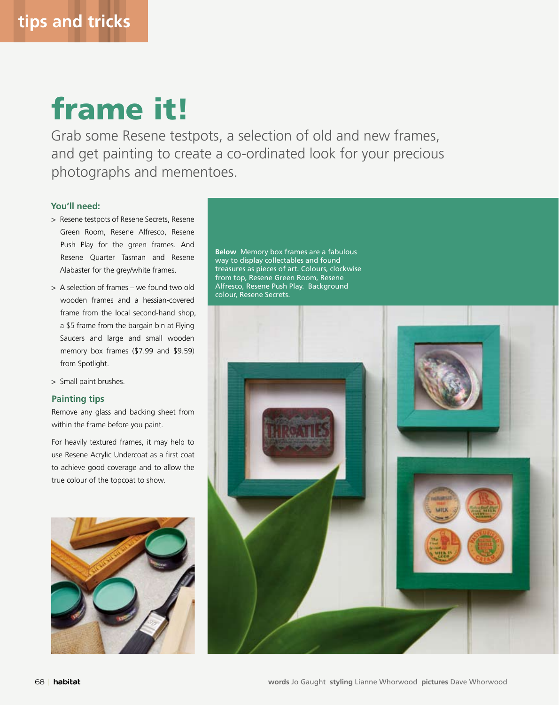## frame it!

Grab some Resene testpots, a selection of old and new frames, and get painting to create a co-ordinated look for your precious photographs and mementoes.

## **You'll need:**

- > Resene testpots of Resene Secrets, Resene Green Room, Resene Alfresco, Resene Push Play for the green frames. And Resene Quarter Tasman and Resene Alabaster for the grey/white frames.
- > A selection of frames we found two old wooden frames and a hessian-covered frame from the local second-hand shop, a \$5 frame from the bargain bin at Flying Saucers and large and small wooden memory box frames (\$7.99 and \$9.59) from Spotlight.
- > Small paint brushes.

## **Painting tips**

Remove any glass and backing sheet from within the frame before you paint.

For heavily textured frames, it may help to use Resene Acrylic Undercoat as a first coat to achieve good coverage and to allow the true colour of the topcoat to show.



**Below** Memory box frames are a fabulous way to display collectables and found treasures as pieces of art. Colours, clockwise from top, Resene Green Room, Resene Alfresco, Resene Push Play. Background colour, Resene Secrets.